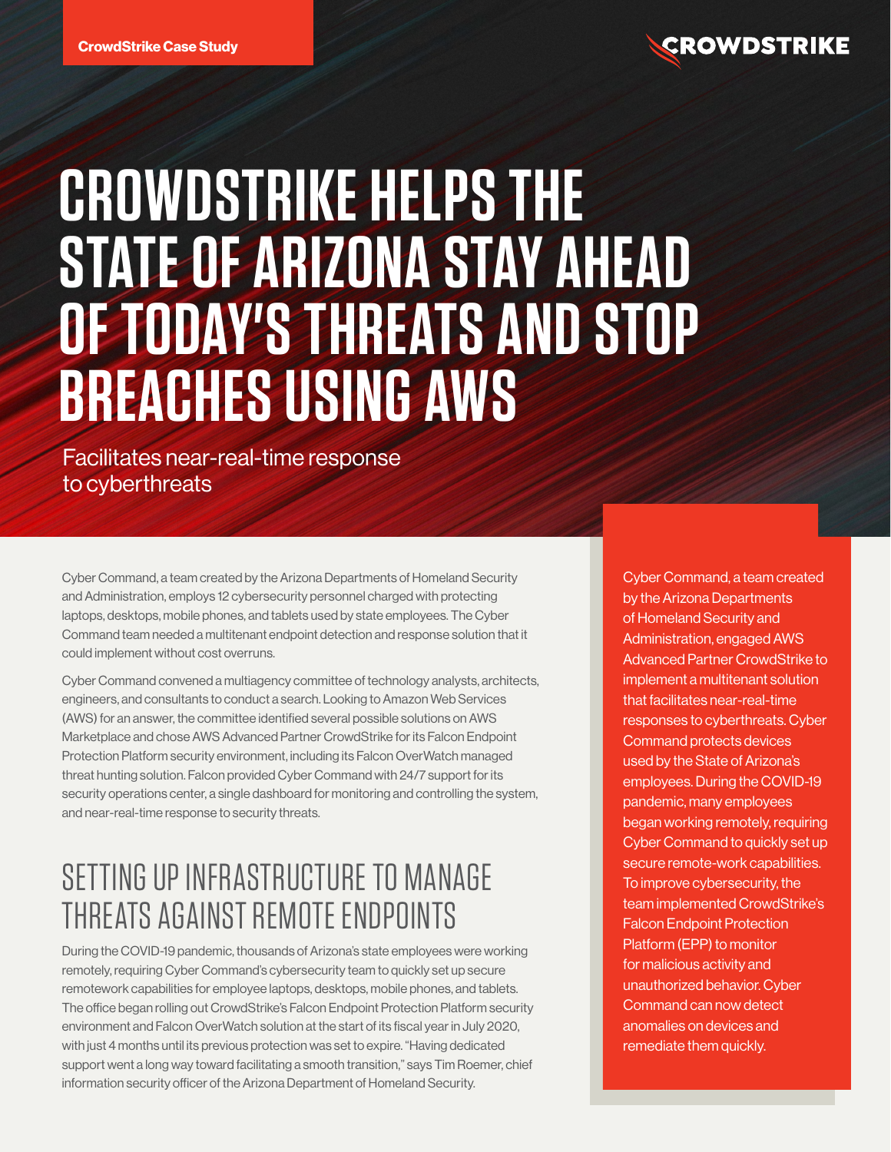

# **CROWDSTRIKE HELPS THE STATE OF ARIZONA STAY AHEAD OF TODAY'S THREATS AND STOP BREACHES USING AWS**

Facilitates near-real-time response to cyberthreats

Cyber Command, a team created by the Arizona Departments of Homeland Security and Administration, employs 12 cybersecurity personnel charged with protecting laptops, desktops, mobile phones, and tablets used by state employees. The Cyber Command team needed a multitenant endpoint detection and response solution that it could implement without cost overruns.

Cyber Command convened a multiagency committee of technology analysts, architects, engineers, and consultants to conduct a search. Looking to Amazon Web Services (AWS) for an answer, the committee identified several possible solutions on AWS Marketplace and chose AWS Advanced Partner CrowdStrike for its Falcon Endpoint Protection Platform security environment, including its Falcon OverWatch managed threat hunting solution. Falcon provided Cyber Command with 24/7 support for its security operations center, a single dashboard for monitoring and controlling the system, and near-real-time response to security threats.

# SETTING UP INFRASTRUCTURE TO MANAGE THREATS AGAINST REMOTE ENDPOINTS

During the COVID-19 pandemic, thousands of Arizona's state employees were working remotely, requiring Cyber Command's cybersecurity team to quickly set up secure remotework capabilities for employee laptops, desktops, mobile phones, and tablets. The office began rolling out CrowdStrike's Falcon Endpoint Protection Platform security environment and Falcon OverWatch solution at the start of its fiscal year in July 2020, with just 4 months until its previous protection was set to expire. "Having dedicated support went a long way toward facilitating a smooth transition," says Tim Roemer, chief information security officer of the Arizona Department of Homeland Security.

Cyber Command, a team created by the Arizona Departments of Homeland Security and Administration, engaged AWS Advanced Partner CrowdStrike to implement a multitenant solution that facilitates near-real-time responses to cyberthreats. Cyber Command protects devices used by the State of Arizona's employees. During the COVID-19 pandemic, many employees began working remotely, requiring Cyber Command to quickly set up secure remote-work capabilities. To improve cybersecurity, the team implemented CrowdStrike's Falcon Endpoint Protection Platform (EPP) to monitor for malicious activity and unauthorized behavior. Cyber Command can now detect anomalies on devices and remediate them quickly.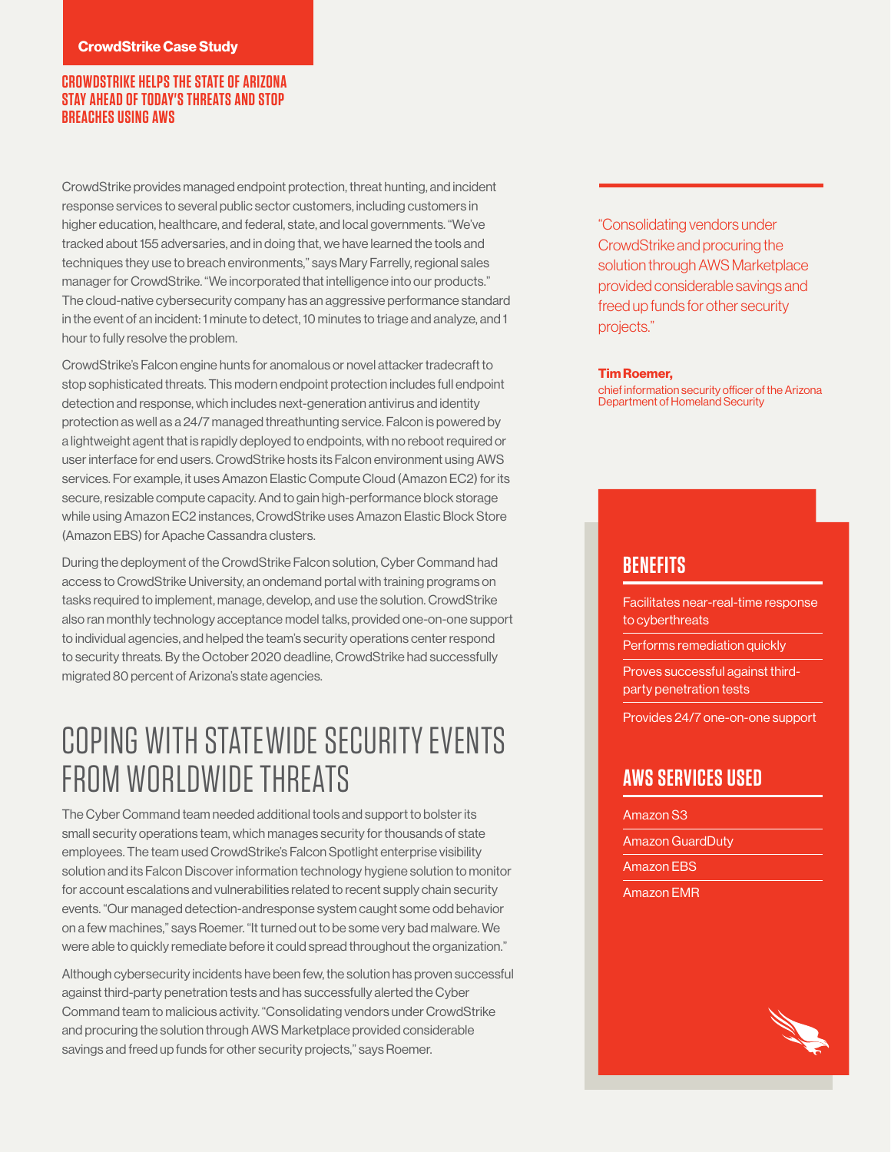#### **CROWDSTRIKE HELPS THE STATE OF ARIZONA STAY AHEAD OF TODAY'S THREATS AND STOP BREACHES USING AWS**

CrowdStrike provides managed endpoint protection, threat hunting, and incident response services to several public sector customers, including customers in higher education, healthcare, and federal, state, and local governments. "We've tracked about 155 adversaries, and in doing that, we have learned the tools and techniques they use to breach environments," says Mary Farrelly, regional sales manager for CrowdStrike. "We incorporated that intelligence into our products." The cloud-native cybersecurity company has an aggressive performance standard in the event of an incident: 1 minute to detect, 10 minutes to triage and analyze, and 1 hour to fully resolve the problem.

CrowdStrike's Falcon engine hunts for anomalous or novel attacker tradecraft to stop sophisticated threats. This modern endpoint protection includes full endpoint detection and response, which includes next-generation antivirus and identity protection as well as a 24/7 managed threathunting service. Falcon is powered by a lightweight agent that is rapidly deployed to endpoints, with no reboot required or user interface for end users. CrowdStrike hosts its Falcon environment using AWS services. For example, it uses Amazon Elastic Compute Cloud (Amazon EC2) for its secure, resizable compute capacity. And to gain high-performance block storage while using Amazon EC2 instances, CrowdStrike uses Amazon Elastic Block Store (Amazon EBS) for Apache Cassandra clusters.

During the deployment of the CrowdStrike Falcon solution, Cyber Command had access to CrowdStrike University, an ondemand portal with training programs on tasks required to implement, manage, develop, and use the solution. CrowdStrike also ran monthly technology acceptance model talks, provided one-on-one support to individual agencies, and helped the team's security operations center respond to security threats. By the October 2020 deadline, CrowdStrike had successfully migrated 80 percent of Arizona's state agencies.

## COPING WITH STATEWIDE SECURITY EVENTS FROM WORLDWIDE THREATS

The Cyber Command team needed additional tools and support to bolster its small security operations team, which manages security for thousands of state employees. The team used CrowdStrike's Falcon Spotlight enterprise visibility solution and its Falcon Discover information technology hygiene solution to monitor for account escalations and vulnerabilities related to recent supply chain security events. "Our managed detection-andresponse system caught some odd behavior on a few machines," says Roemer. "It turned out to be some very bad malware. We were able to quickly remediate before it could spread throughout the organization."

Although cybersecurity incidents have been few, the solution has proven successful against third-party penetration tests and has successfully alerted the Cyber Command team to malicious activity. "Consolidating vendors under CrowdStrike and procuring the solution through AWS Marketplace provided considerable savings and freed up funds for other security projects," says Roemer.

"Consolidating vendors under CrowdStrike and procuring the solution through AWS Marketplace provided considerable savings and freed up funds for other security projects."

#### **Tim Roemer,**

chief information security officer of the Arizona Department of Homeland Security

#### **BENEFITS**

Facilitates near-real-time response to cyberthreats

Performs remediation quickly

Proves successful against thirdparty penetration tests

Provides 24/7 one-on-one support

#### **AWS SERVICES USED**

Amazon S3 Amazon GuardDuty Amazon EBS Amazon EMR